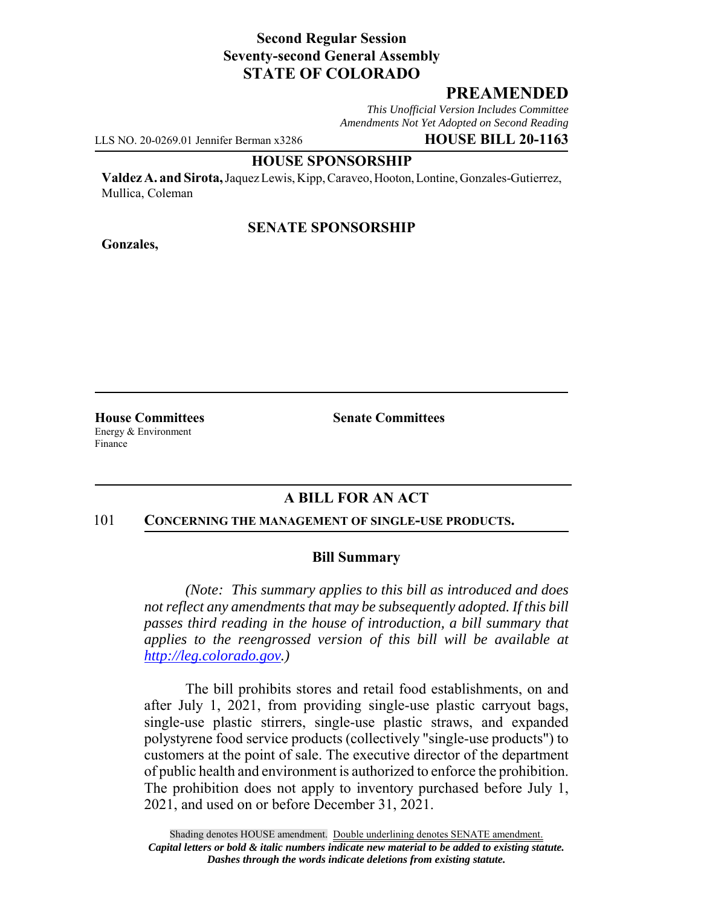# **Second Regular Session Seventy-second General Assembly STATE OF COLORADO**

# **PREAMENDED**

*This Unofficial Version Includes Committee Amendments Not Yet Adopted on Second Reading*

LLS NO. 20-0269.01 Jennifer Berman x3286 **HOUSE BILL 20-1163**

#### **HOUSE SPONSORSHIP**

**Valdez A. and Sirota,** Jaquez Lewis, Kipp, Caraveo, Hooton, Lontine, Gonzales-Gutierrez, Mullica, Coleman

## **SENATE SPONSORSHIP**

**Gonzales,**

Energy & Environment Finance

**House Committees Senate Committees** 

# **A BILL FOR AN ACT**

#### 101 **CONCERNING THE MANAGEMENT OF SINGLE-USE PRODUCTS.**

### **Bill Summary**

*(Note: This summary applies to this bill as introduced and does not reflect any amendments that may be subsequently adopted. If this bill passes third reading in the house of introduction, a bill summary that applies to the reengrossed version of this bill will be available at http://leg.colorado.gov.)*

The bill prohibits stores and retail food establishments, on and after July 1, 2021, from providing single-use plastic carryout bags, single-use plastic stirrers, single-use plastic straws, and expanded polystyrene food service products (collectively "single-use products") to customers at the point of sale. The executive director of the department of public health and environment is authorized to enforce the prohibition. The prohibition does not apply to inventory purchased before July 1, 2021, and used on or before December 31, 2021.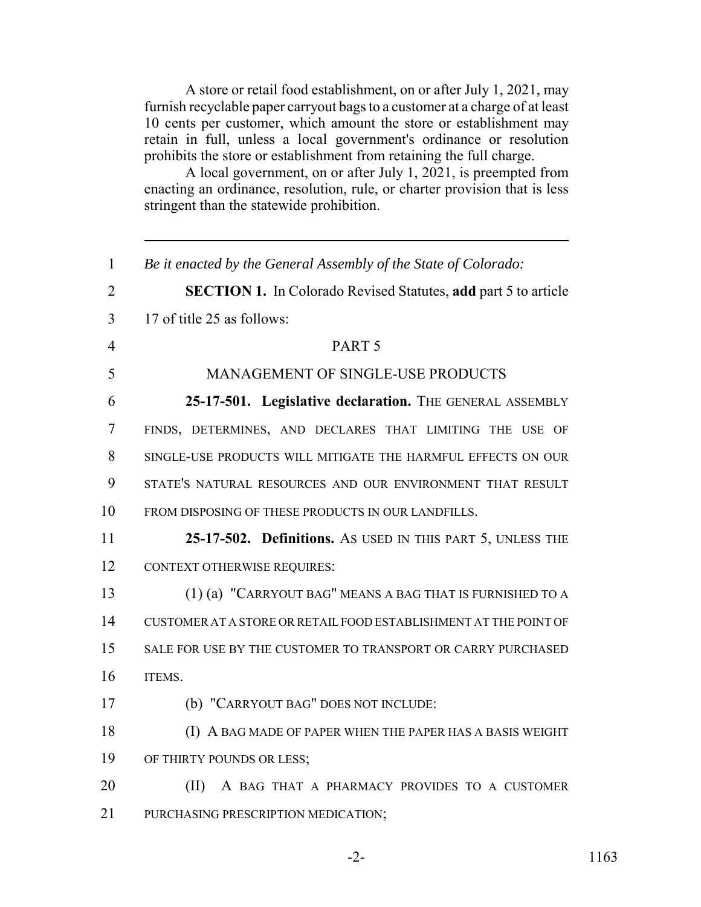A store or retail food establishment, on or after July 1, 2021, may furnish recyclable paper carryout bags to a customer at a charge of at least 10 cents per customer, which amount the store or establishment may retain in full, unless a local government's ordinance or resolution prohibits the store or establishment from retaining the full charge.

A local government, on or after July 1, 2021, is preempted from enacting an ordinance, resolution, rule, or charter provision that is less stringent than the statewide prohibition.

| $\mathbf{1}$   | Be it enacted by the General Assembly of the State of Colorado:       |
|----------------|-----------------------------------------------------------------------|
| $\overline{2}$ | <b>SECTION 1.</b> In Colorado Revised Statutes, add part 5 to article |
| 3              | 17 of title 25 as follows:                                            |
| $\overline{4}$ | PART <sub>5</sub>                                                     |
| 5              | <b>MANAGEMENT OF SINGLE-USE PRODUCTS</b>                              |
| 6              | 25-17-501. Legislative declaration. THE GENERAL ASSEMBLY              |
| 7              | FINDS, DETERMINES, AND DECLARES THAT LIMITING THE USE OF              |
| 8              | SINGLE-USE PRODUCTS WILL MITIGATE THE HARMFUL EFFECTS ON OUR          |
| 9              | STATE'S NATURAL RESOURCES AND OUR ENVIRONMENT THAT RESULT             |
| 10             | FROM DISPOSING OF THESE PRODUCTS IN OUR LANDFILLS.                    |
| 11             | 25-17-502. Definitions. As USED IN THIS PART 5, UNLESS THE            |
| 12             | <b>CONTEXT OTHERWISE REQUIRES:</b>                                    |
| 13             | (1) (a) "CARRYOUT BAG" MEANS A BAG THAT IS FURNISHED TO A             |
| 14             | CUSTOMER AT A STORE OR RETAIL FOOD ESTABLISHMENT AT THE POINT OF      |
| 15             | SALE FOR USE BY THE CUSTOMER TO TRANSPORT OR CARRY PURCHASED          |
| 16             | ITEMS.                                                                |
| 17             | (b) "CARRYOUT BAG" DOES NOT INCLUDE:                                  |
| 18             | (I) A BAG MADE OF PAPER WHEN THE PAPER HAS A BASIS WEIGHT             |
| 19             | OF THIRTY POUNDS OR LESS;                                             |
| 20             | (II)<br>A BAG THAT A PHARMACY PROVIDES TO A CUSTOMER                  |
| 21             | PURCHASING PRESCRIPTION MEDICATION;                                   |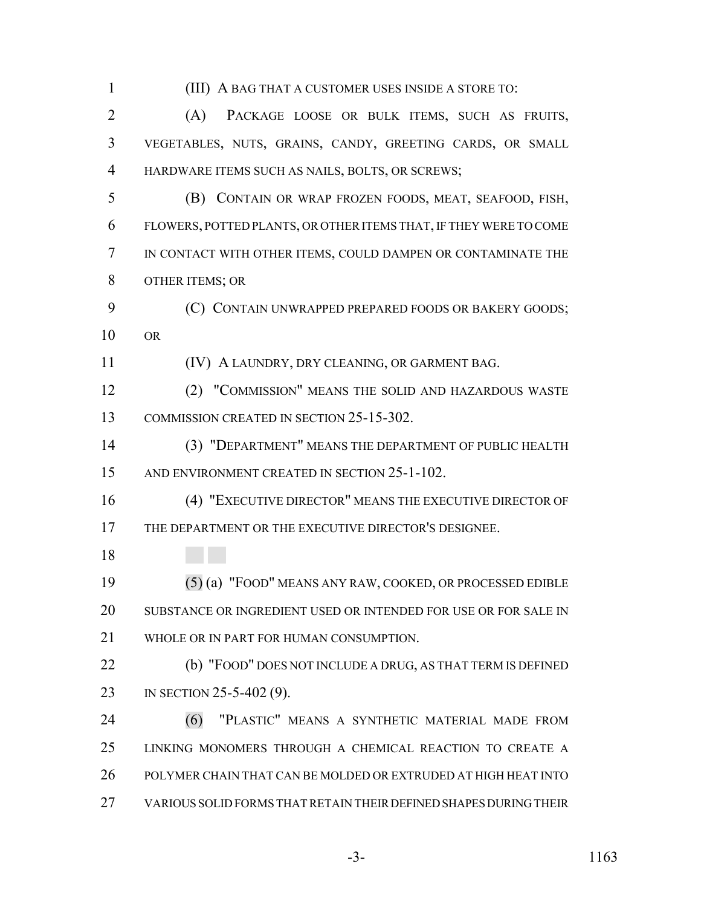(III) A BAG THAT A CUSTOMER USES INSIDE A STORE TO: (A) PACKAGE LOOSE OR BULK ITEMS, SUCH AS FRUITS, VEGETABLES, NUTS, GRAINS, CANDY, GREETING CARDS, OR SMALL HARDWARE ITEMS SUCH AS NAILS, BOLTS, OR SCREWS; (B) CONTAIN OR WRAP FROZEN FOODS, MEAT, SEAFOOD, FISH, FLOWERS, POTTED PLANTS, OR OTHER ITEMS THAT, IF THEY WERE TO COME IN CONTACT WITH OTHER ITEMS, COULD DAMPEN OR CONTAMINATE THE OTHER ITEMS; OR **(C) CONTAIN UNWRAPPED PREPARED FOODS OR BAKERY GOODS;**  OR (IV) A LAUNDRY, DRY CLEANING, OR GARMENT BAG. (2) "COMMISSION" MEANS THE SOLID AND HAZARDOUS WASTE COMMISSION CREATED IN SECTION 25-15-302. (3) "DEPARTMENT" MEANS THE DEPARTMENT OF PUBLIC HEALTH AND ENVIRONMENT CREATED IN SECTION 25-1-102. (4) "EXECUTIVE DIRECTOR" MEANS THE EXECUTIVE DIRECTOR OF THE DEPARTMENT OR THE EXECUTIVE DIRECTOR'S DESIGNEE. (5) (a) "FOOD" MEANS ANY RAW, COOKED, OR PROCESSED EDIBLE SUBSTANCE OR INGREDIENT USED OR INTENDED FOR USE OR FOR SALE IN WHOLE OR IN PART FOR HUMAN CONSUMPTION. (b) "FOOD" DOES NOT INCLUDE A DRUG, AS THAT TERM IS DEFINED 23 IN SECTION 25-5-402 (9). (6) "PLASTIC" MEANS A SYNTHETIC MATERIAL MADE FROM LINKING MONOMERS THROUGH A CHEMICAL REACTION TO CREATE A POLYMER CHAIN THAT CAN BE MOLDED OR EXTRUDED AT HIGH HEAT INTO VARIOUS SOLID FORMS THAT RETAIN THEIR DEFINED SHAPES DURING THEIR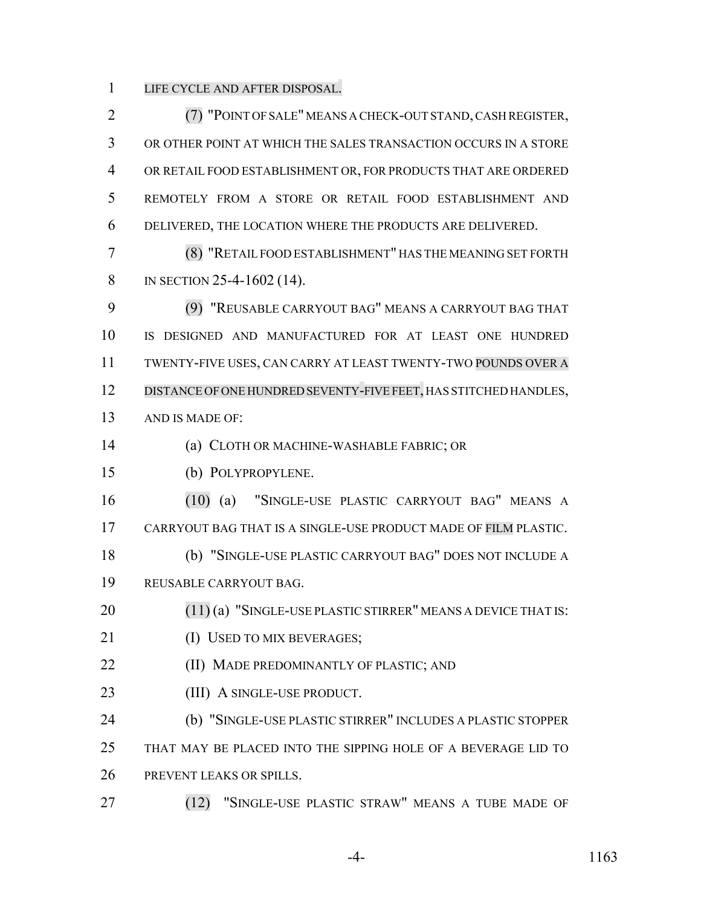LIFE CYCLE AND AFTER DISPOSAL.

 (7) "POINT OF SALE" MEANS A CHECK-OUT STAND, CASH REGISTER, OR OTHER POINT AT WHICH THE SALES TRANSACTION OCCURS IN A STORE OR RETAIL FOOD ESTABLISHMENT OR, FOR PRODUCTS THAT ARE ORDERED REMOTELY FROM A STORE OR RETAIL FOOD ESTABLISHMENT AND DELIVERED, THE LOCATION WHERE THE PRODUCTS ARE DELIVERED. (8) "RETAIL FOOD ESTABLISHMENT" HAS THE MEANING SET FORTH 8 IN SECTION 25-4-1602 (14). (9) "REUSABLE CARRYOUT BAG" MEANS A CARRYOUT BAG THAT IS DESIGNED AND MANUFACTURED FOR AT LEAST ONE HUNDRED TWENTY-FIVE USES, CAN CARRY AT LEAST TWENTY-TWO POUNDS OVER A 12 DISTANCE OF ONE HUNDRED SEVENTY-FIVE FEET, HAS STITCHED HANDLES, AND IS MADE OF: (a) CLOTH OR MACHINE-WASHABLE FABRIC; OR (b) POLYPROPYLENE. (10) (a) "SINGLE-USE PLASTIC CARRYOUT BAG" MEANS A CARRYOUT BAG THAT IS A SINGLE-USE PRODUCT MADE OF FILM PLASTIC. (b) "SINGLE-USE PLASTIC CARRYOUT BAG" DOES NOT INCLUDE A REUSABLE CARRYOUT BAG. 20 (11) (a) "SINGLE-USE PLASTIC STIRRER" MEANS A DEVICE THAT IS: 21 (I) USED TO MIX BEVERAGES; **(II) MADE PREDOMINANTLY OF PLASTIC; AND** 23 (III) A SINGLE-USE PRODUCT. (b) "SINGLE-USE PLASTIC STIRRER" INCLUDES A PLASTIC STOPPER THAT MAY BE PLACED INTO THE SIPPING HOLE OF A BEVERAGE LID TO PREVENT LEAKS OR SPILLS. (12) "SINGLE-USE PLASTIC STRAW" MEANS A TUBE MADE OF

-4- 1163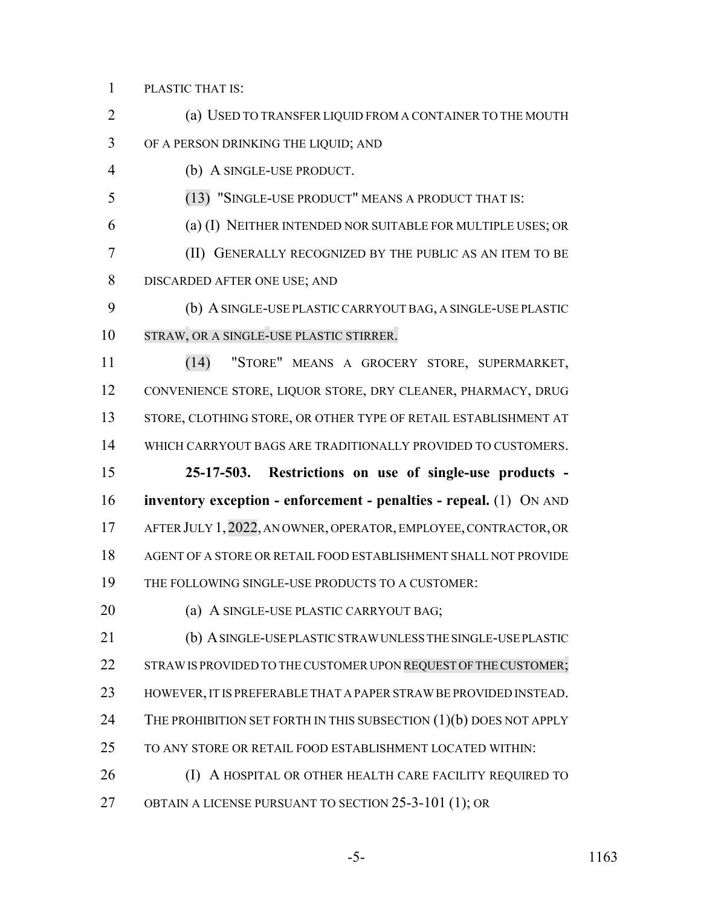PLASTIC THAT IS:

 (a) USED TO TRANSFER LIQUID FROM A CONTAINER TO THE MOUTH OF A PERSON DRINKING THE LIQUID; AND

(b) A SINGLE-USE PRODUCT.

(13) "SINGLE-USE PRODUCT" MEANS A PRODUCT THAT IS:

(a) (I) NEITHER INTENDED NOR SUITABLE FOR MULTIPLE USES; OR

 (II) GENERALLY RECOGNIZED BY THE PUBLIC AS AN ITEM TO BE DISCARDED AFTER ONE USE; AND

 (b) A SINGLE-USE PLASTIC CARRYOUT BAG, A SINGLE-USE PLASTIC STRAW, OR A SINGLE-USE PLASTIC STIRRER.

 (14) "STORE" MEANS A GROCERY STORE, SUPERMARKET, CONVENIENCE STORE, LIQUOR STORE, DRY CLEANER, PHARMACY, DRUG 13 STORE, CLOTHING STORE, OR OTHER TYPE OF RETAIL ESTABLISHMENT AT WHICH CARRYOUT BAGS ARE TRADITIONALLY PROVIDED TO CUSTOMERS.

 **25-17-503. Restrictions on use of single-use products - inventory exception - enforcement - penalties - repeal.** (1) ON AND AFTER JULY 1,2022, AN OWNER, OPERATOR, EMPLOYEE, CONTRACTOR, OR AGENT OF A STORE OR RETAIL FOOD ESTABLISHMENT SHALL NOT PROVIDE THE FOLLOWING SINGLE-USE PRODUCTS TO A CUSTOMER:

**(a) A SINGLE-USE PLASTIC CARRYOUT BAG;** 

 (b) A SINGLE-USE PLASTIC STRAW UNLESS THE SINGLE-USE PLASTIC 22 STRAW IS PROVIDED TO THE CUSTOMER UPON REQUEST OF THE CUSTOMER; HOWEVER, IT IS PREFERABLE THAT A PAPER STRAW BE PROVIDED INSTEAD. 24 THE PROHIBITION SET FORTH IN THIS SUBSECTION (1)(b) DOES NOT APPLY TO ANY STORE OR RETAIL FOOD ESTABLISHMENT LOCATED WITHIN:

**(I) A HOSPITAL OR OTHER HEALTH CARE FACILITY REQUIRED TO** OBTAIN A LICENSE PURSUANT TO SECTION 25-3-101 (1); OR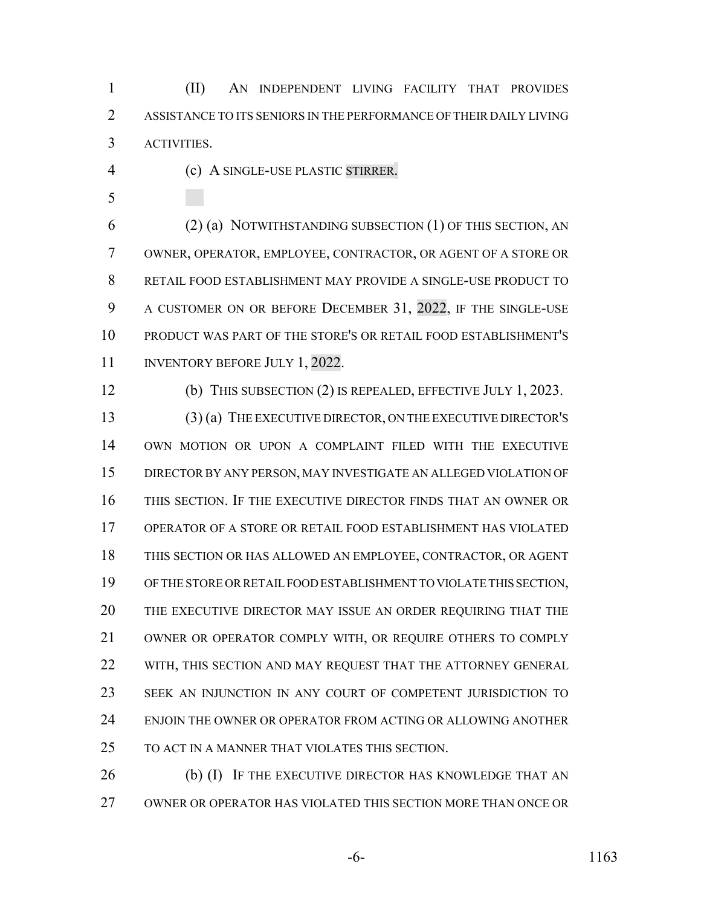(II) AN INDEPENDENT LIVING FACILITY THAT PROVIDES ASSISTANCE TO ITS SENIORS IN THE PERFORMANCE OF THEIR DAILY LIVING ACTIVITIES.

- (c) A SINGLE-USE PLASTIC STIRRER.
- 

 (2) (a) NOTWITHSTANDING SUBSECTION (1) OF THIS SECTION, AN OWNER, OPERATOR, EMPLOYEE, CONTRACTOR, OR AGENT OF A STORE OR RETAIL FOOD ESTABLISHMENT MAY PROVIDE A SINGLE-USE PRODUCT TO A CUSTOMER ON OR BEFORE DECEMBER 31, 2022, IF THE SINGLE-USE PRODUCT WAS PART OF THE STORE'S OR RETAIL FOOD ESTABLISHMENT'S 11 INVENTORY BEFORE JULY 1, 2022.

(b) THIS SUBSECTION (2) IS REPEALED, EFFECTIVE JULY 1, 2023.

 (3) (a) THE EXECUTIVE DIRECTOR, ON THE EXECUTIVE DIRECTOR'S OWN MOTION OR UPON A COMPLAINT FILED WITH THE EXECUTIVE DIRECTOR BY ANY PERSON, MAY INVESTIGATE AN ALLEGED VIOLATION OF THIS SECTION. IF THE EXECUTIVE DIRECTOR FINDS THAT AN OWNER OR OPERATOR OF A STORE OR RETAIL FOOD ESTABLISHMENT HAS VIOLATED THIS SECTION OR HAS ALLOWED AN EMPLOYEE, CONTRACTOR, OR AGENT OF THE STORE OR RETAIL FOOD ESTABLISHMENT TO VIOLATE THIS SECTION, THE EXECUTIVE DIRECTOR MAY ISSUE AN ORDER REQUIRING THAT THE OWNER OR OPERATOR COMPLY WITH, OR REQUIRE OTHERS TO COMPLY 22 WITH, THIS SECTION AND MAY REQUEST THAT THE ATTORNEY GENERAL SEEK AN INJUNCTION IN ANY COURT OF COMPETENT JURISDICTION TO ENJOIN THE OWNER OR OPERATOR FROM ACTING OR ALLOWING ANOTHER TO ACT IN A MANNER THAT VIOLATES THIS SECTION.

26 (b) (I) IF THE EXECUTIVE DIRECTOR HAS KNOWLEDGE THAT AN OWNER OR OPERATOR HAS VIOLATED THIS SECTION MORE THAN ONCE OR

-6- 1163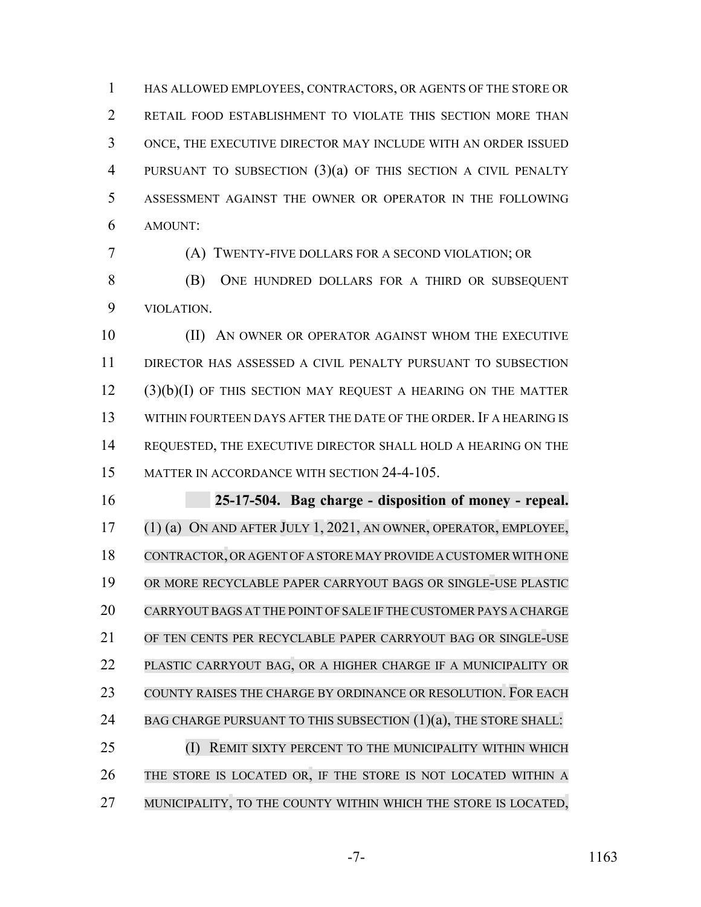HAS ALLOWED EMPLOYEES, CONTRACTORS, OR AGENTS OF THE STORE OR RETAIL FOOD ESTABLISHMENT TO VIOLATE THIS SECTION MORE THAN ONCE, THE EXECUTIVE DIRECTOR MAY INCLUDE WITH AN ORDER ISSUED PURSUANT TO SUBSECTION (3)(a) OF THIS SECTION A CIVIL PENALTY ASSESSMENT AGAINST THE OWNER OR OPERATOR IN THE FOLLOWING AMOUNT:

(A) TWENTY-FIVE DOLLARS FOR A SECOND VIOLATION; OR

 (B) ONE HUNDRED DOLLARS FOR A THIRD OR SUBSEQUENT VIOLATION.

10 (II) AN OWNER OR OPERATOR AGAINST WHOM THE EXECUTIVE DIRECTOR HAS ASSESSED A CIVIL PENALTY PURSUANT TO SUBSECTION (3)(b)(I) OF THIS SECTION MAY REQUEST A HEARING ON THE MATTER WITHIN FOURTEEN DAYS AFTER THE DATE OF THE ORDER. IF A HEARING IS REQUESTED, THE EXECUTIVE DIRECTOR SHALL HOLD A HEARING ON THE MATTER IN ACCORDANCE WITH SECTION 24-4-105.

 **25-17-504. Bag charge - disposition of money - repeal.** (1) (a) ON AND AFTER JULY 1, 2021, AN OWNER, OPERATOR, EMPLOYEE, CONTRACTOR, OR AGENT OF A STORE MAY PROVIDE A CUSTOMER WITH ONE OR MORE RECYCLABLE PAPER CARRYOUT BAGS OR SINGLE-USE PLASTIC CARRYOUT BAGS AT THE POINT OF SALE IF THE CUSTOMER PAYS A CHARGE OF TEN CENTS PER RECYCLABLE PAPER CARRYOUT BAG OR SINGLE-USE PLASTIC CARRYOUT BAG, OR A HIGHER CHARGE IF A MUNICIPALITY OR COUNTY RAISES THE CHARGE BY ORDINANCE OR RESOLUTION. FOR EACH 24 BAG CHARGE PURSUANT TO THIS SUBSECTION (1)(a), THE STORE SHALL: (I) REMIT SIXTY PERCENT TO THE MUNICIPALITY WITHIN WHICH THE STORE IS LOCATED OR, IF THE STORE IS NOT LOCATED WITHIN A

27 MUNICIPALITY, TO THE COUNTY WITHIN WHICH THE STORE IS LOCATED,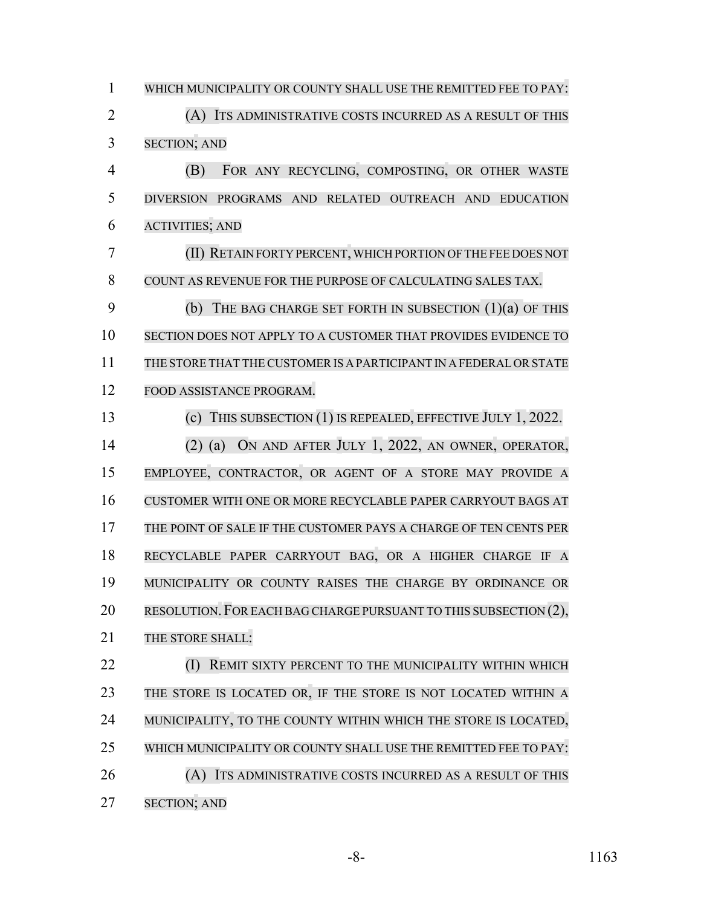WHICH MUNICIPALITY OR COUNTY SHALL USE THE REMITTED FEE TO PAY: (A) ITS ADMINISTRATIVE COSTS INCURRED AS A RESULT OF THIS SECTION; AND (B) FOR ANY RECYCLING, COMPOSTING, OR OTHER WASTE DIVERSION PROGRAMS AND RELATED OUTREACH AND EDUCATION ACTIVITIES; AND (II) RETAIN FORTY PERCENT,WHICH PORTION OFTHE FEE DOES NOT COUNT AS REVENUE FOR THE PURPOSE OF CALCULATING SALES TAX. (b) THE BAG CHARGE SET FORTH IN SUBSECTION (1)(a) OF THIS SECTION DOES NOT APPLY TO A CUSTOMER THAT PROVIDES EVIDENCE TO THE STORE THAT THE CUSTOMERIS A PARTICIPANT IN A FEDERALORSTATE FOOD ASSISTANCE PROGRAM. (c) THIS SUBSECTION (1) IS REPEALED, EFFECTIVE JULY 1, 2022. (2) (a) ON AND AFTER JULY 1, 2022, AN OWNER, OPERATOR, EMPLOYEE, CONTRACTOR, OR AGENT OF A STORE MAY PROVIDE A CUSTOMER WITH ONE OR MORE RECYCLABLE PAPER CARRYOUT BAGS AT THE POINT OF SALE IF THE CUSTOMER PAYS A CHARGE OF TEN CENTS PER RECYCLABLE PAPER CARRYOUT BAG, OR A HIGHER CHARGE IF A MUNICIPALITY OR COUNTY RAISES THE CHARGE BY ORDINANCE OR 20 RESOLUTION. FOR EACH BAG CHARGE PURSUANT TO THIS SUBSECTION (2), 21 THE STORE SHALL: **(I) REMIT SIXTY PERCENT TO THE MUNICIPALITY WITHIN WHICH**  THE STORE IS LOCATED OR, IF THE STORE IS NOT LOCATED WITHIN A 24 MUNICIPALITY, TO THE COUNTY WITHIN WHICH THE STORE IS LOCATED, WHICH MUNICIPALITY OR COUNTY SHALL USE THE REMITTED FEE TO PAY: 26 (A) ITS ADMINISTRATIVE COSTS INCURRED AS A RESULT OF THIS SECTION; AND

-8- 1163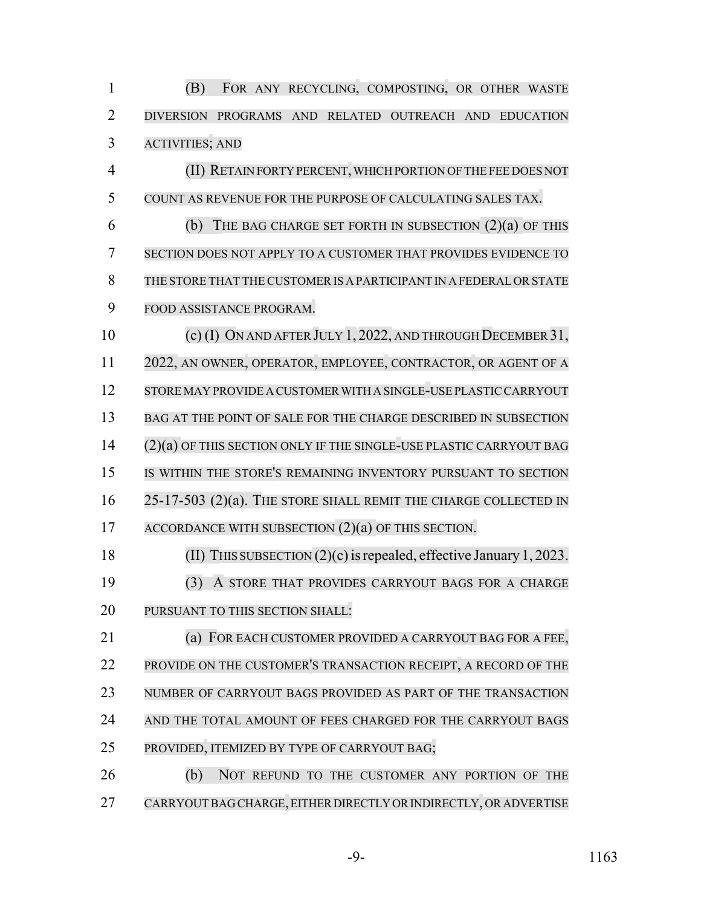(B) FOR ANY RECYCLING, COMPOSTING, OR OTHER WASTE DIVERSION PROGRAMS AND RELATED OUTREACH AND EDUCATION ACTIVITIES; AND

 (II) RETAIN FORTY PERCENT, WHICH PORTION OF THE FEE DOES NOT COUNT AS REVENUE FOR THE PURPOSE OF CALCULATING SALES TAX. (b) THE BAG CHARGE SET FORTH IN SUBSECTION (2)(a) OF THIS SECTION DOES NOT APPLY TO A CUSTOMER THAT PROVIDES EVIDENCE TO THE STORE THAT THE CUSTOMERIS A PARTICIPANT IN A FEDERALORSTATE FOOD ASSISTANCE PROGRAM.

 (c) (I) ON AND AFTER JULY 1, 2022, AND THROUGH DECEMBER 31, 2022, AN OWNER, OPERATOR, EMPLOYEE, CONTRACTOR, OR AGENT OF A STORE MAY PROVIDE A CUSTOMER WITH A SINGLE-USE PLASTICCARRYOUT BAG AT THE POINT OF SALE FOR THE CHARGE DESCRIBED IN SUBSECTION (2)(a) OF THIS SECTION ONLY IF THE SINGLE-USE PLASTIC CARRYOUT BAG IS WITHIN THE STORE'S REMAINING INVENTORY PURSUANT TO SECTION 25-17-503 (2)(a). THE STORE SHALL REMIT THE CHARGE COLLECTED IN 17 ACCORDANCE WITH SUBSECTION  $(2)(a)$  OF THIS SECTION.

 (II) THIS SUBSECTION (2)(c)isrepealed, effective January 1, 2023. (3) A STORE THAT PROVIDES CARRYOUT BAGS FOR A CHARGE PURSUANT TO THIS SECTION SHALL:

 (a) FOR EACH CUSTOMER PROVIDED A CARRYOUT BAG FOR A FEE, PROVIDE ON THE CUSTOMER'S TRANSACTION RECEIPT, A RECORD OF THE NUMBER OF CARRYOUT BAGS PROVIDED AS PART OF THE TRANSACTION 24 AND THE TOTAL AMOUNT OF FEES CHARGED FOR THE CARRYOUT BAGS PROVIDED, ITEMIZED BY TYPE OF CARRYOUT BAG;

 (b) NOT REFUND TO THE CUSTOMER ANY PORTION OF THE 27 CARRYOUT BAG CHARGE, EITHER DIRECTLY OR INDIRECTLY, OR ADVERTISE